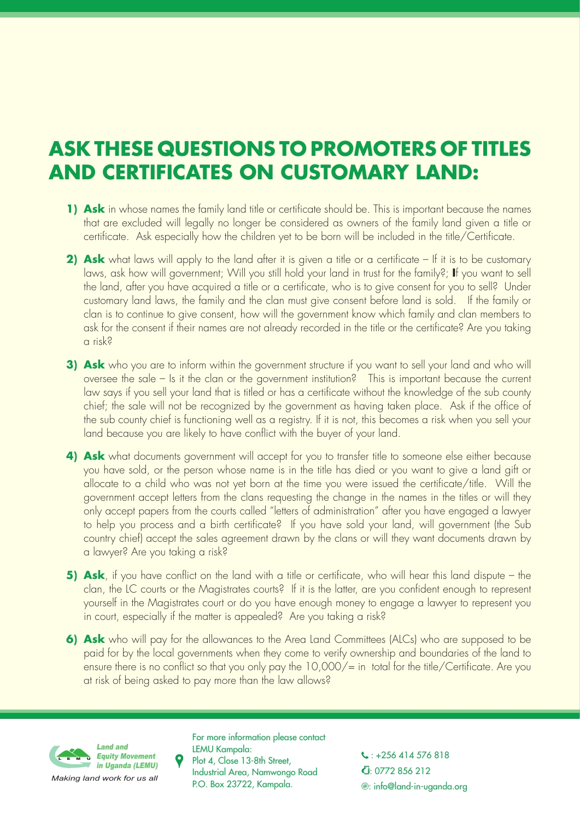## **ASK THESE QUESTIONS TO PROMOTERS OF TITLES AND CERTIFICATES ON CUSTOMARY LAND:**

- **1) Ask** in whose names the family land title or certificate should be. This is important because the names that are excluded will legally no longer be considered as owners of the family land given a title or certificate. Ask especially how the children yet to be born will be included in the title/Certificate.
- **2) Ask** what laws will apply to the land after it is given a title or a certificate If it is to be customary laws, ask how will government; Will you still hold your land in trust for the family?; **I**f you want to sell the land, after you have acquired a title or a certificate, who is to give consent for you to sell? Under customary land laws, the family and the clan must give consent before land is sold. If the family or clan is to continue to give consent, how will the government know which family and clan members to ask for the consent if their names are not already recorded in the title or the certificate? Are you taking a risk?
- **3) Ask** who you are to inform within the government structure if you want to sell your land and who will oversee the sale – Is it the clan or the government institution? This is important because the current law says if you sell your land that is titled or has a certificate without the knowledge of the sub county chief; the sale will not be recognized by the government as having taken place. Ask if the office of the sub county chief is functioning well as a registry. If it is not, this becomes a risk when you sell your land because you are likely to have conflict with the buyer of your land.
- **4) Ask** what documents government will accept for you to transfer title to someone else either because you have sold, or the person whose name is in the title has died or you want to give a land gift or allocate to a child who was not yet born at the time you were issued the certificate/title. Will the government accept letters from the clans requesting the change in the names in the titles or will they only accept papers from the courts called "letters of administration" after you have engaged a lawyer to help you process and a birth certificate? If you have sold your land, will government (the Sub country chief) accept the sales agreement drawn by the clans or will they want documents drawn by a lawyer? Are you taking a risk?
- **5) Ask**, if you have conflict on the land with a title or certificate, who will hear this land dispute the clan, the LC courts or the Magistrates courts? If it is the latter, are you confident enough to represent yourself in the Magistrates court or do you have enough money to engage a lawyer to represent you in court, especially if the matter is appealed? Are you taking a risk?
- **6) Ask** who will pay for the allowances to the Area Land Committees (ALCs) who are supposed to be paid for by the local governments when they come to verify ownership and boundaries of the land to ensure there is no conflict so that you only pay the 10,000/= in total for the title/Certificate. Are you at risk of being asked to pay more than the law allows?



 $\begin{array}{ccc} \text{L} & \text{L} & \text{L} & \text{L} \\ \text{L} & \text{L} & \text{L} & \text{L} \\ \text{L} & \text{L} & \text{L} & \text{L} \end{array}$  Plot 4, Close 13-8th Street, For more information please contact LEMU Kampala: Industrial Area, Namwongo Road P.O. Box 23722, Kampala.

: 0772 856 212 : info@land-in-uganda.org